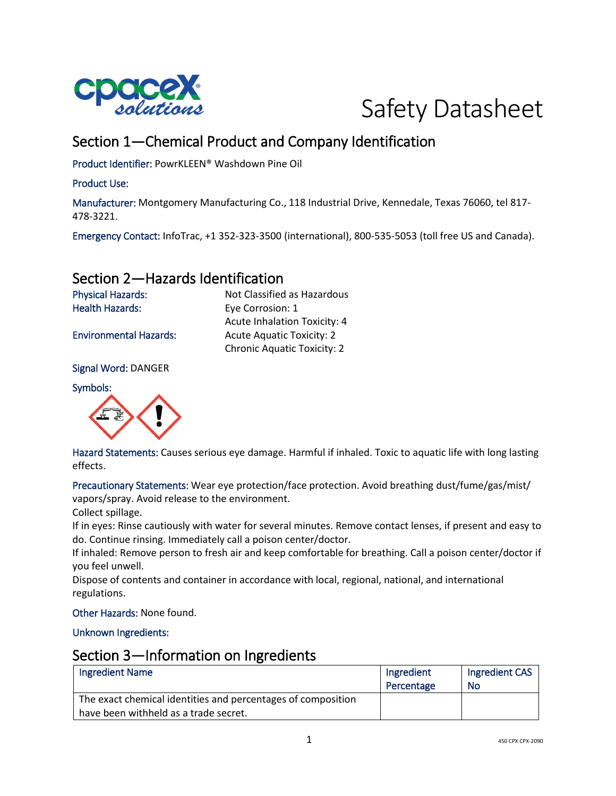



# Section 1—Chemical Product and Company Identification

Product Identifier: PowrKLEEN® Washdown Pine Oil

#### Product Use:

Manufacturer: Montgomery Manufacturing Co., 118 Industrial Drive, Kennedale, Texas 76060, tel 817- 478-3221.

Emergency Contact: InfoTrac, +1 352-323-3500 (international), 800-535-5053 (toll free US and Canada).

## Section 2—Hazards Identification

Physical Hazards: Not Classified as Hazardous Health Hazards: Eye Corrosion: 1 Acute Inhalation Toxicity: 4 Environmental Hazards: Acute Aquatic Toxicity: 2 Chronic Aquatic Toxicity: 2

Signal Word: DANGER

Symbols:



Hazard Statements: Causes serious eye damage. Harmful if inhaled. Toxic to aquatic life with long lasting effects.

Precautionary Statements: Wear eye protection/face protection. Avoid breathing dust/fume/gas/mist/ vapors/spray. Avoid release to the environment.

Collect spillage.

If in eyes: Rinse cautiously with water for several minutes. Remove contact lenses, if present and easy to do. Continue rinsing. Immediately call a poison center/doctor.

If inhaled: Remove person to fresh air and keep comfortable for breathing. Call a poison center/doctor if you feel unwell.

Dispose of contents and container in accordance with local, regional, national, and international regulations.

Other Hazards: None found.

Unknown Ingredients:

#### Section 3—Information on Ingredients

| <b>Ingredient Name</b>                                       | Ingredient | Ingredient CAS |
|--------------------------------------------------------------|------------|----------------|
|                                                              | Percentage | No             |
| The exact chemical identities and percentages of composition |            |                |
| have been withheld as a trade secret.                        |            |                |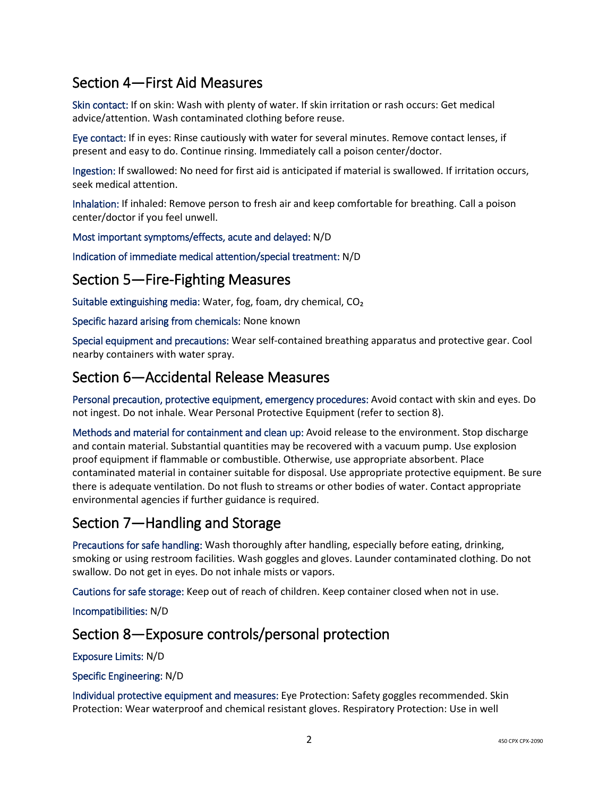# Section 4—First Aid Measures

Skin contact: If on skin: Wash with plenty of water. If skin irritation or rash occurs: Get medical advice/attention. Wash contaminated clothing before reuse.

Eye contact: If in eyes: Rinse cautiously with water for several minutes. Remove contact lenses, if present and easy to do. Continue rinsing. Immediately call a poison center/doctor.

Ingestion: If swallowed: No need for first aid is anticipated if material is swallowed. If irritation occurs, seek medical attention.

Inhalation: If inhaled: Remove person to fresh air and keep comfortable for breathing. Call a poison center/doctor if you feel unwell.

Most important symptoms/effects, acute and delayed: N/D

Indication of immediate medical attention/special treatment: N/D

### Section 5—Fire-Fighting Measures

Suitable extinguishing media: Water, fog, foam, dry chemical, CO₂

Specific hazard arising from chemicals: None known

Special equipment and precautions: Wear self-contained breathing apparatus and protective gear. Cool nearby containers with water spray.

### Section 6—Accidental Release Measures

Personal precaution, protective equipment, emergency procedures: Avoid contact with skin and eyes. Do not ingest. Do not inhale. Wear Personal Protective Equipment (refer to section 8).

Methods and material for containment and clean up: Avoid release to the environment. Stop discharge and contain material. Substantial quantities may be recovered with a vacuum pump. Use explosion proof equipment if flammable or combustible. Otherwise, use appropriate absorbent. Place contaminated material in container suitable for disposal. Use appropriate protective equipment. Be sure there is adequate ventilation. Do not flush to streams or other bodies of water. Contact appropriate environmental agencies if further guidance is required.

## Section 7—Handling and Storage

Precautions for safe handling: Wash thoroughly after handling, especially before eating, drinking, smoking or using restroom facilities. Wash goggles and gloves. Launder contaminated clothing. Do not swallow. Do not get in eyes. Do not inhale mists or vapors.

Cautions for safe storage: Keep out of reach of children. Keep container closed when not in use.

Incompatibilities: N/D

### Section 8—Exposure controls/personal protection

Exposure Limits: N/D

#### Specific Engineering: N/D

Individual protective equipment and measures: Eye Protection: Safety goggles recommended. Skin Protection: Wear waterproof and chemical resistant gloves. Respiratory Protection: Use in well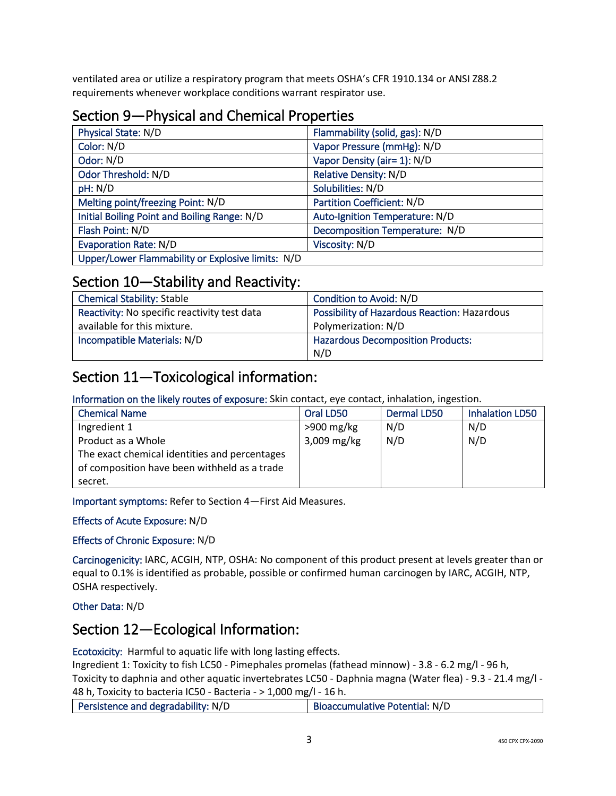ventilated area or utilize a respiratory program that meets OSHA's CFR 1910.134 or ANSI Z88.2 requirements whenever workplace conditions warrant respirator use.

## Section 9—Physical and Chemical Properties

| Physical State: N/D                               | Flammability (solid, gas): N/D    |
|---------------------------------------------------|-----------------------------------|
| Color: N/D                                        | Vapor Pressure (mmHg): N/D        |
| Odor: N/D                                         | Vapor Density (air= 1): N/D       |
| Odor Threshold: N/D                               | <b>Relative Density: N/D</b>      |
| pH: N/D                                           | Solubilities: N/D                 |
| Melting point/freezing Point: N/D                 | <b>Partition Coefficient: N/D</b> |
| Initial Boiling Point and Boiling Range: N/D      | Auto-Ignition Temperature: N/D    |
| Flash Point: N/D                                  | Decomposition Temperature: N/D    |
| <b>Evaporation Rate: N/D</b>                      | Viscosity: N/D                    |
| Upper/Lower Flammability or Explosive limits: N/D |                                   |

### Section 10—Stability and Reactivity:

| <b>Chemical Stability: Stable</b>            | Condition to Avoid: N/D                             |
|----------------------------------------------|-----------------------------------------------------|
| Reactivity: No specific reactivity test data | <b>Possibility of Hazardous Reaction: Hazardous</b> |
| available for this mixture.                  | Polymerization: N/D                                 |
| Incompatible Materials: N/D                  | <b>Hazardous Decomposition Products:</b>            |
|                                              | N/D                                                 |

## Section 11—Toxicological information:

Information on the likely routes of exposure: Skin contact, eye contact, inhalation, ingestion.

| <b>Chemical Name</b>                          | Oral LD50    | <b>Dermal LD50</b> | <b>Inhalation LD50</b> |
|-----------------------------------------------|--------------|--------------------|------------------------|
| Ingredient 1                                  | $>900$ mg/kg | N/D                | N/D                    |
| Product as a Whole                            | 3,009 mg/kg  | N/D                | N/D                    |
| The exact chemical identities and percentages |              |                    |                        |
| of composition have been withheld as a trade  |              |                    |                        |
| secret.                                       |              |                    |                        |

Important symptoms: Refer to Section 4—First Aid Measures.

#### Effects of Acute Exposure: N/D

#### Effects of Chronic Exposure: N/D

Carcinogenicity: IARC, ACGIH, NTP, OSHA: No component of this product present at levels greater than or equal to 0.1% is identified as probable, possible or confirmed human carcinogen by IARC, ACGIH, NTP, OSHA respectively.

Other Data: N/D

## Section 12—Ecological Information:

Ecotoxicity: Harmful to aquatic life with long lasting effects.

Ingredient 1: Toxicity to fish LC50 - Pimephales promelas (fathead minnow) - 3.8 - 6.2 mg/l - 96 h, Toxicity to daphnia and other aquatic invertebrates LC50 - Daphnia magna (Water flea) - 9.3 - 21.4 mg/l - 48 h, Toxicity to bacteria IC50 - Bacteria - > 1,000 mg/l - 16 h.

| Persistence and degradability: N/D | Bioaccumulative Potential: N/D |
|------------------------------------|--------------------------------|
|------------------------------------|--------------------------------|